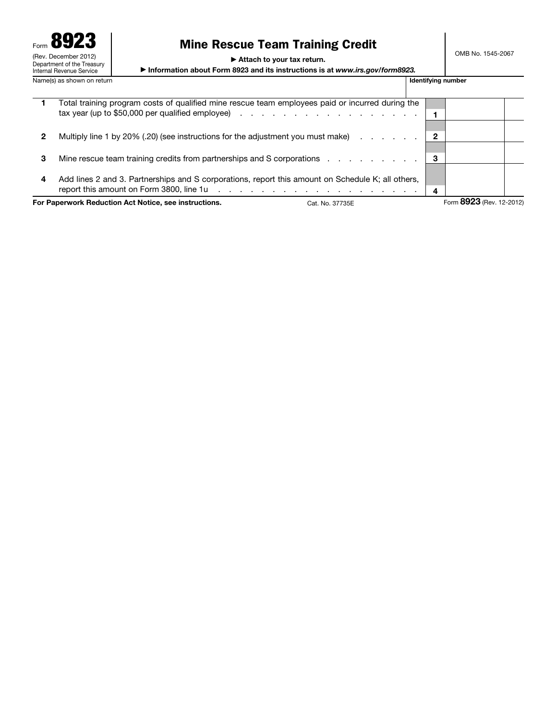| Form 8923                                                                      | <b>Mine Rescue Team Training Credit</b>                                                                    |                    |     |
|--------------------------------------------------------------------------------|------------------------------------------------------------------------------------------------------------|--------------------|-----|
| (Rev. December 2012)<br>Department of the Treasury<br>Internal Revenue Service | Attach to your tax return.<br>Information about Form 8923 and its instructions is at www.irs.gov/form8923. |                    | OME |
| Name(s) as shown on return                                                     |                                                                                                            | Identifying number |     |

# Mine Rescue Team Training Credit

OMB No. 1545-2067

1 Total training program costs of qualified mine rescue team employees paid or incurred during the tax year (up to \$50,000 per qualified employee)  $\cdots$  . . . . . . . . . . . . . . . .  $\boxed{1}$ 2 Multiply line 1 by 20% (.20) (see instructions for the adjustment you must make) . . . . . . . 2 3 Mine rescue team training credits from partnerships and S corporations . . . . . . . . . 3 4 Add lines 2 and 3. Partnerships and S corporations, report this amount on Schedule K; all others, report this amount on Form 3800, line 1u . . . . . . . . . . . . . . . . . . . 4 For Paperwork Reduction Act Notice, see instructions. Cat. No. 37735E Form 8923 (Rev. 12-2012)